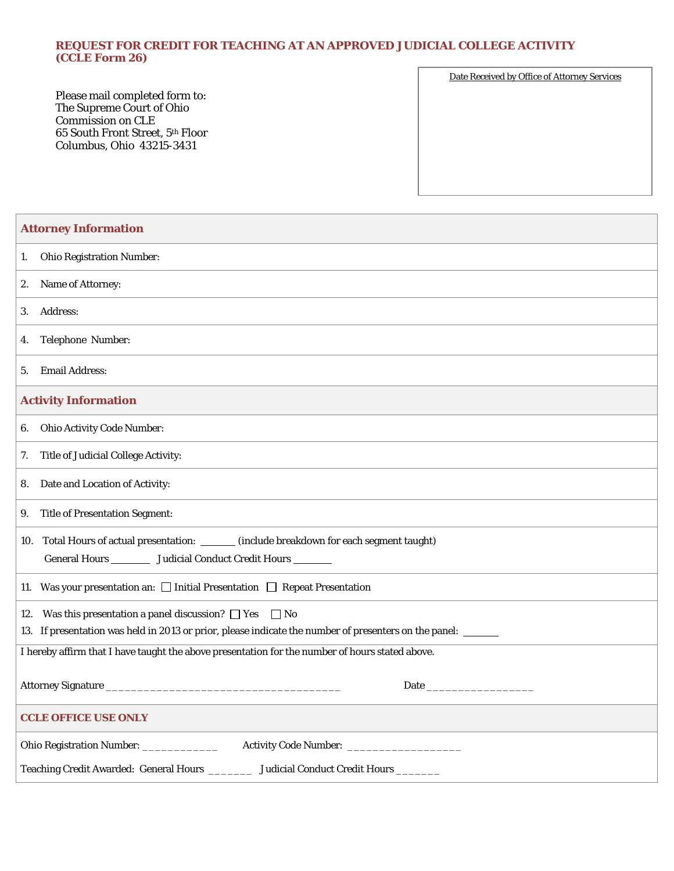## **REQUEST FOR CREDIT FOR TEACHING AT AN APPROVED JUDICIAL COLLEGE ACTIVITY (CCLE Form 26)**

Please mail completed form to: The Supreme Court of Ohio Commission on CLE 65 South Front Street, 5th Floor Columbus, Ohio 43215-3431

Date Received by Office of Attorney Services

| <b>Attorney Information</b>                                                                                                                                                          |
|--------------------------------------------------------------------------------------------------------------------------------------------------------------------------------------|
| <b>Ohio Registration Number:</b><br>1.                                                                                                                                               |
| 2. Name of Attorney:                                                                                                                                                                 |
| <b>Address:</b><br>3.                                                                                                                                                                |
| Telephone Number:<br>4.                                                                                                                                                              |
| <b>Email Address:</b><br>5.                                                                                                                                                          |
| <b>Activity Information</b>                                                                                                                                                          |
| <b>Ohio Activity Code Number:</b><br>6.                                                                                                                                              |
| Title of Judicial College Activity:<br>7.                                                                                                                                            |
| 8. Date and Location of Activity:                                                                                                                                                    |
| <b>Title of Presentation Segment:</b><br>9.                                                                                                                                          |
| 10. Total Hours of actual presentation: _______ (include breakdown for each segment taught)<br>General Hours __________ Judicial Conduct Credit Hours ________                       |
| 11. Was your presentation an: $\Box$ Initial Presentation $\Box$ Repeat Presentation                                                                                                 |
| 12. Was this presentation a panel discussion? $\Box$ Yes<br>$\Box$ No<br>13. If presentation was held in 2013 or prior, please indicate the number of presenters on the panel: _____ |
| I hereby affirm that I have taught the above presentation for the number of hours stated above.                                                                                      |
|                                                                                                                                                                                      |
| <b>CCLE OFFICE USE ONLY</b>                                                                                                                                                          |
| Activity Code Number: ________<br>Ohio Registration Number:                                                                                                                          |
| <b>Teaching Credit Awarded: General Hours</b><br><b>Judicial Conduct Credit Hours</b>                                                                                                |